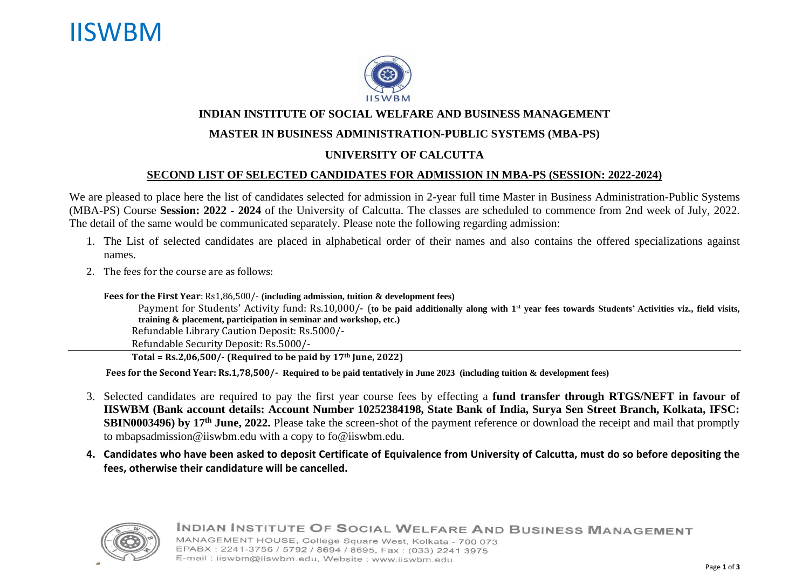## IISWBM



#### **INDIAN INSTITUTE OF SOCIAL WELFARE AND BUSINESS MANAGEMENT**

#### **MASTER IN BUSINESS ADMINISTRATION-PUBLIC SYSTEMS (MBA-PS)**

#### **UNIVERSITY OF CALCUTTA**

#### **SECOND LIST OF SELECTED CANDIDATES FOR ADMISSION IN MBA-PS (SESSION: 2022-2024)**

We are pleased to place here the list of candidates selected for admission in 2-year full time Master in Business Administration-Public Systems (MBA-PS) Course **Session: 2022 - 2024** of the University of Calcutta. The classes are scheduled to commence from 2nd week of July, 2022. The detail of the same would be communicated separately. Please note the following regarding admission:

- 1. The List of selected candidates are placed in alphabetical order of their names and also contains the offered specializations against names.
- 2. The fees for the course are as follows:

**Fees for the First Year**: Rs1,86,500/- **(including admission, tuition & development fees)**

Payment for Students' Activity fund: Rs.10,000/- (**to be paid additionally along with 1st year fees towards Students' Activities viz., field visits, training & placement, participation in seminar and workshop, etc.)** Refundable Library Caution Deposit: Rs.5000/-

Refundable Security Deposit: Rs.5000/-

 **Total = Rs.2,06,500/- (Required to be paid by 17th June, 2022)**

 **Fees for the Second Year: Rs.1,78,500/- Required to be paid tentatively in June 2023 (including tuition & development fees)**

- 3. Selected candidates are required to pay the first year course fees by effecting a **fund transfer through RTGS/NEFT in favour of IISWBM (Bank account details: Account Number 10252384198, State Bank of India, Surya Sen Street Branch, Kolkata, IFSC: SBIN0003496) by 17th June, 2022.** Please take the screen-shot of the payment reference or download the receipt and mail that promptly to [mbapsadmission@iiswbm.edu](mailto:mbapsadmission@iiswbm.edu) with a copy to [fo@iiswbm.edu.](mailto:fo@iiswbm.edu)
- **4. Candidates who have been asked to deposit Certificate of Equivalence from University of Calcutta, must do so before depositing the fees, otherwise their candidature will be cancelled.**



INDIAN INSTITUTE OF SOCIAL WELFARE AND BUSINESS MANAGEMENT MANAGEMENT HOUSE, College Square West, Kolkata - 700 073 EPABX: 2241-3756 / 5792 / 8694 / 8695, Fax: (033) 2241 3975 E-mail: iiswbm@iiswbm.edu, Website: www.iiswbm.edu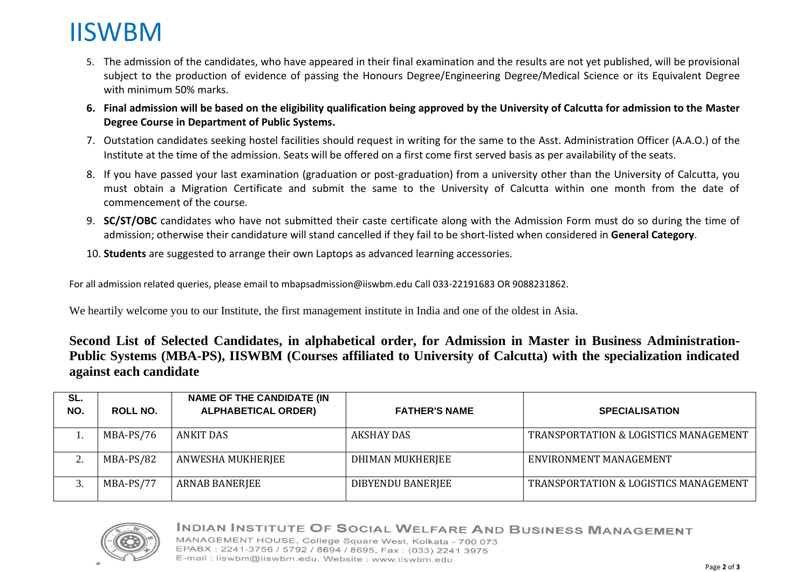# IISWBM

- 5. The admission of the candidates, who have appeared in their final examination and the results are not yet published, will be provisional subject to the production of evidence of passing the Honours Degree/Engineering Degree/Medical Science or its Equivalent Degree with minimum 50% marks.
- **6. Final admission will be based on the eligibility qualification being approved by the University of Calcutta for admission to the Master Degree Course in Department of Public Systems.**
- 7. Outstation candidates seeking hostel facilities should request in writing for the same to the Asst. Administration Officer (A.A.O.) of the Institute at the time of the admission. Seats will be offered on a first come first served basis as per availability of the seats.
- 8. If you have passed your last examination (graduation or post-graduation) from a university other than the University of Calcutta, you must obtain a Migration Certificate and submit the same to the University of Calcutta within one month from the date of commencement of the course.
- 9. **SC/ST/OBC** candidates who have not submitted their caste certificate along with the Admission Form must do so during the time of admission; otherwise their candidature will stand cancelled if they fail to be short-listed when considered in **General Category**.
- 10. **Students** are suggested to arrange their own Laptops as advanced learning accessories.

For all admission related queries, please email to mbapsadmission@iiswbm.edu Call 033-22191683 OR 9088231862.

We heartily welcome you to our Institute, the first management institute in India and one of the oldest in Asia.

**Second List of Selected Candidates, in alphabetical order, for Admission in Master in Business Administration-Public Systems (MBA-PS), IISWBM (Courses affiliated to University of Calcutta) with the specialization indicated against each candidate**

| SL.<br>NO. | <b>ROLL NO.</b> | <b>NAME OF THE CANDIDATE (IN</b><br><b>ALPHABETICAL ORDER)</b> | <b>FATHER'S NAME</b> | <b>SPECIALISATION</b>                            |
|------------|-----------------|----------------------------------------------------------------|----------------------|--------------------------------------------------|
|            | MBA-PS/76       | <b>ANKIT DAS</b>                                               | <b>AKSHAY DAS</b>    | <b>TRANSPORTATION &amp; LOGISTICS MANAGEMENT</b> |
| ، ت        | MBA-PS/82       | ANWESHA MUKHERJEE                                              | DHIMAN MUKHERJEE     | ENVIRONMENT MANAGEMENT                           |
|            | MBA-PS/77       | <b>ARNAB BANERJEE</b>                                          | DIBYENDU BANERJEE    | <b>TRANSPORTATION &amp; LOGISTICS MANAGEMENT</b> |



### INDIAN INSTITUTE OF SOCIAL WELFARE AND BUSINESS MANAGEMENT

MANAGEMENT HOUSE, College Square West, Kolkata - 700 073 EPABX: 2241-3756 / 5792 / 8694 / 8695, Fax: (033) 2241 3975 E-mail: iiswbm@iiswbm.edu, Website: www.iiswbm.edu